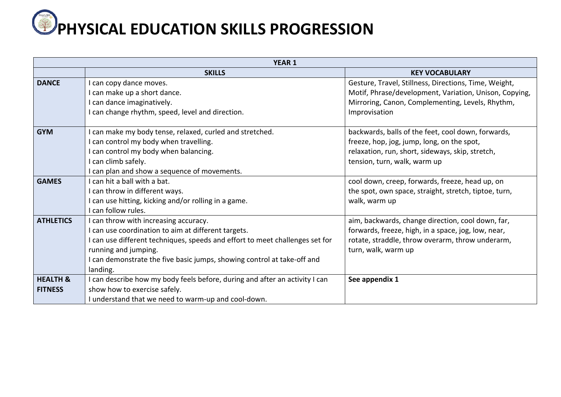

| <b>YEAR 1</b>                         |                                                                                                                                                                                                                                                                                             |                                                                                                                                                                                      |
|---------------------------------------|---------------------------------------------------------------------------------------------------------------------------------------------------------------------------------------------------------------------------------------------------------------------------------------------|--------------------------------------------------------------------------------------------------------------------------------------------------------------------------------------|
|                                       | <b>SKILLS</b>                                                                                                                                                                                                                                                                               | <b>KEY VOCABULARY</b>                                                                                                                                                                |
| <b>DANCE</b>                          | I can copy dance moves.<br>I can make up a short dance.<br>I can dance imaginatively.                                                                                                                                                                                                       | Gesture, Travel, Stillness, Directions, Time, Weight,<br>Motif, Phrase/development, Variation, Unison, Copying,<br>Mirroring, Canon, Complementing, Levels, Rhythm,                  |
|                                       | I can change rhythm, speed, level and direction.                                                                                                                                                                                                                                            | Improvisation                                                                                                                                                                        |
| <b>GYM</b>                            | I can make my body tense, relaxed, curled and stretched.<br>I can control my body when travelling.<br>I can control my body when balancing.<br>I can climb safely.<br>I can plan and show a sequence of movements.                                                                          | backwards, balls of the feet, cool down, forwards,<br>freeze, hop, jog, jump, long, on the spot,<br>relaxation, run, short, sideways, skip, stretch,<br>tension, turn, walk, warm up |
| <b>GAMES</b>                          | I can hit a ball with a bat.<br>I can throw in different ways.<br>I can use hitting, kicking and/or rolling in a game.<br>I can follow rules.                                                                                                                                               | cool down, creep, forwards, freeze, head up, on<br>the spot, own space, straight, stretch, tiptoe, turn,<br>walk, warm up                                                            |
| <b>ATHLETICS</b>                      | I can throw with increasing accuracy.<br>I can use coordination to aim at different targets.<br>I can use different techniques, speeds and effort to meet challenges set for<br>running and jumping.<br>I can demonstrate the five basic jumps, showing control at take-off and<br>landing. | aim, backwards, change direction, cool down, far,<br>forwards, freeze, high, in a space, jog, low, near,<br>rotate, straddle, throw overarm, throw underarm,<br>turn, walk, warm up  |
| <b>HEALTH &amp;</b><br><b>FITNESS</b> | I can describe how my body feels before, during and after an activity I can<br>show how to exercise safely.<br>I understand that we need to warm-up and cool-down.                                                                                                                          | See appendix 1                                                                                                                                                                       |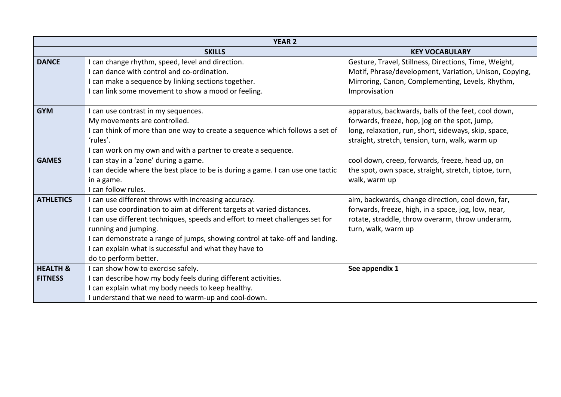| <b>YEAR 2</b>       |                                                                                |                                                        |
|---------------------|--------------------------------------------------------------------------------|--------------------------------------------------------|
|                     | <b>SKILLS</b>                                                                  | <b>KEY VOCABULARY</b>                                  |
| <b>DANCE</b>        | I can change rhythm, speed, level and direction.                               | Gesture, Travel, Stillness, Directions, Time, Weight,  |
|                     | can dance with control and co-ordination.                                      | Motif, Phrase/development, Variation, Unison, Copying, |
|                     | I can make a sequence by linking sections together.                            | Mirroring, Canon, Complementing, Levels, Rhythm,       |
|                     | I can link some movement to show a mood or feeling.                            | Improvisation                                          |
| <b>GYM</b>          | I can use contrast in my sequences.                                            | apparatus, backwards, balls of the feet, cool down,    |
|                     | My movements are controlled.                                                   | forwards, freeze, hop, jog on the spot, jump,          |
|                     | I can think of more than one way to create a sequence which follows a set of   | long, relaxation, run, short, sideways, skip, space,   |
|                     | 'rules'.                                                                       | straight, stretch, tension, turn, walk, warm up        |
|                     | I can work on my own and with a partner to create a sequence.                  |                                                        |
| <b>GAMES</b>        | I can stay in a 'zone' during a game.                                          | cool down, creep, forwards, freeze, head up, on        |
|                     | I can decide where the best place to be is during a game. I can use one tactic | the spot, own space, straight, stretch, tiptoe, turn,  |
|                     | in a game.                                                                     | walk, warm up                                          |
|                     | I can follow rules.                                                            |                                                        |
| <b>ATHLETICS</b>    | I can use different throws with increasing accuracy.                           | aim, backwards, change direction, cool down, far,      |
|                     | I can use coordination to aim at different targets at varied distances.        | forwards, freeze, high, in a space, jog, low, near,    |
|                     | I can use different techniques, speeds and effort to meet challenges set for   | rotate, straddle, throw overarm, throw underarm,       |
|                     | running and jumping.                                                           | turn, walk, warm up                                    |
|                     | I can demonstrate a range of jumps, showing control at take-off and landing.   |                                                        |
|                     | I can explain what is successful and what they have to                         |                                                        |
|                     | do to perform better.                                                          |                                                        |
| <b>HEALTH &amp;</b> | I can show how to exercise safely.                                             | See appendix 1                                         |
| <b>FITNESS</b>      | can describe how my body feels during different activities.                    |                                                        |
|                     | I can explain what my body needs to keep healthy.                              |                                                        |
|                     | I understand that we need to warm-up and cool-down.                            |                                                        |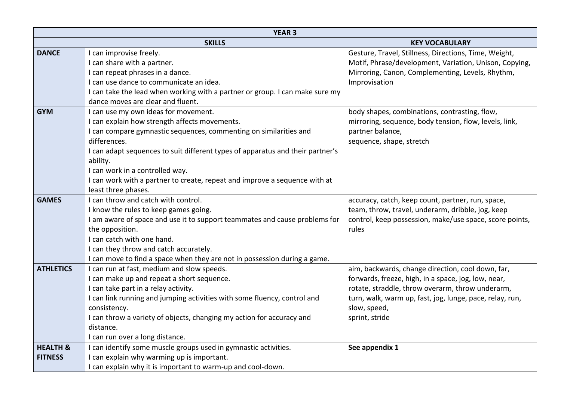| <b>YEAR 3</b>       |                                                                                |                                                          |  |
|---------------------|--------------------------------------------------------------------------------|----------------------------------------------------------|--|
|                     | <b>SKILLS</b>                                                                  | <b>KEY VOCABULARY</b>                                    |  |
| <b>DANCE</b>        | I can improvise freely.                                                        | Gesture, Travel, Stillness, Directions, Time, Weight,    |  |
|                     | I can share with a partner.                                                    | Motif, Phrase/development, Variation, Unison, Copying,   |  |
|                     | I can repeat phrases in a dance.                                               | Mirroring, Canon, Complementing, Levels, Rhythm,         |  |
|                     | I can use dance to communicate an idea.                                        | Improvisation                                            |  |
|                     | I can take the lead when working with a partner or group. I can make sure my   |                                                          |  |
|                     | dance moves are clear and fluent.                                              |                                                          |  |
| <b>GYM</b>          | I can use my own ideas for movement.                                           | body shapes, combinations, contrasting, flow,            |  |
|                     | I can explain how strength affects movements.                                  | mirroring, sequence, body tension, flow, levels, link,   |  |
|                     | I can compare gymnastic sequences, commenting on similarities and              | partner balance,                                         |  |
|                     | differences.                                                                   | sequence, shape, stretch                                 |  |
|                     | I can adapt sequences to suit different types of apparatus and their partner's |                                                          |  |
|                     | ability.                                                                       |                                                          |  |
|                     | I can work in a controlled way.                                                |                                                          |  |
|                     | I can work with a partner to create, repeat and improve a sequence with at     |                                                          |  |
|                     | least three phases.                                                            |                                                          |  |
| <b>GAMES</b>        | I can throw and catch with control.                                            | accuracy, catch, keep count, partner, run, space,        |  |
|                     | I know the rules to keep games going.                                          | team, throw, travel, underarm, dribble, jog, keep        |  |
|                     | I am aware of space and use it to support teammates and cause problems for     | control, keep possession, make/use space, score points,  |  |
|                     | the opposition.                                                                | rules                                                    |  |
|                     | I can catch with one hand.                                                     |                                                          |  |
|                     | I can they throw and catch accurately.                                         |                                                          |  |
|                     | I can move to find a space when they are not in possession during a game.      |                                                          |  |
| <b>ATHLETICS</b>    | I can run at fast, medium and slow speeds.                                     | aim, backwards, change direction, cool down, far,        |  |
|                     | I can make up and repeat a short sequence.                                     | forwards, freeze, high, in a space, jog, low, near,      |  |
|                     | I can take part in a relay activity.                                           | rotate, straddle, throw overarm, throw underarm,         |  |
|                     | I can link running and jumping activities with some fluency, control and       | turn, walk, warm up, fast, jog, lunge, pace, relay, run, |  |
|                     | consistency.                                                                   | slow, speed,                                             |  |
|                     | I can throw a variety of objects, changing my action for accuracy and          | sprint, stride                                           |  |
|                     | distance.                                                                      |                                                          |  |
|                     | I can run over a long distance.                                                |                                                          |  |
| <b>HEALTH &amp;</b> | I can identify some muscle groups used in gymnastic activities.                | See appendix 1                                           |  |
| <b>FITNESS</b>      | I can explain why warming up is important.                                     |                                                          |  |
|                     | I can explain why it is important to warm-up and cool-down.                    |                                                          |  |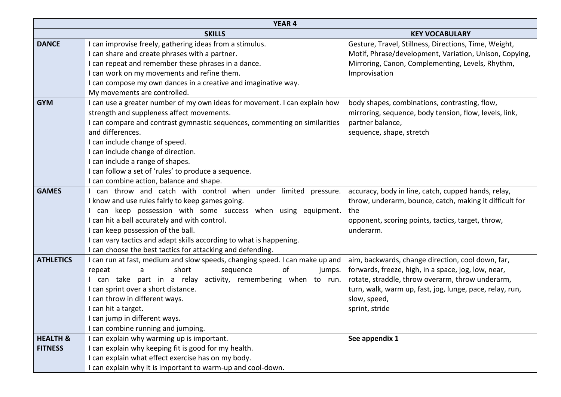| <b>YEAR 4</b>       |                                                                              |                                                          |
|---------------------|------------------------------------------------------------------------------|----------------------------------------------------------|
|                     | <b>SKILLS</b>                                                                | <b>KEY VOCABULARY</b>                                    |
| <b>DANCE</b>        | I can improvise freely, gathering ideas from a stimulus.                     | Gesture, Travel, Stillness, Directions, Time, Weight,    |
|                     | I can share and create phrases with a partner.                               | Motif, Phrase/development, Variation, Unison, Copying,   |
|                     | I can repeat and remember these phrases in a dance.                          | Mirroring, Canon, Complementing, Levels, Rhythm,         |
|                     | I can work on my movements and refine them.                                  | Improvisation                                            |
|                     | I can compose my own dances in a creative and imaginative way.               |                                                          |
|                     | My movements are controlled.                                                 |                                                          |
| <b>GYM</b>          | I can use a greater number of my own ideas for movement. I can explain how   | body shapes, combinations, contrasting, flow,            |
|                     | strength and suppleness affect movements.                                    | mirroring, sequence, body tension, flow, levels, link,   |
|                     | I can compare and contrast gymnastic sequences, commenting on similarities   | partner balance,                                         |
|                     | and differences.                                                             | sequence, shape, stretch                                 |
|                     | I can include change of speed.                                               |                                                          |
|                     | I can include change of direction.                                           |                                                          |
|                     | I can include a range of shapes.                                             |                                                          |
|                     | I can follow a set of 'rules' to produce a sequence.                         |                                                          |
|                     | I can combine action, balance and shape.                                     |                                                          |
| <b>GAMES</b>        | can throw and catch with control when under limited pressure.                | accuracy, body in line, catch, cupped hands, relay,      |
|                     | I know and use rules fairly to keep games going.                             | throw, underarm, bounce, catch, making it difficult for  |
|                     | can keep possession with some success when using equipment.                  | the                                                      |
|                     | I can hit a ball accurately and with control.                                | opponent, scoring points, tactics, target, throw,        |
|                     | I can keep possession of the ball.                                           | underarm.                                                |
|                     | I can vary tactics and adapt skills according to what is happening.          |                                                          |
|                     | I can choose the best tactics for attacking and defending.                   |                                                          |
| <b>ATHLETICS</b>    | I can run at fast, medium and slow speeds, changing speed. I can make up and | aim, backwards, change direction, cool down, far,        |
|                     | short<br>of<br>repeat<br>sequence<br>jumps.<br>a                             | forwards, freeze, high, in a space, jog, low, near,      |
|                     | can take part in a relay activity, remembering when to run.                  | rotate, straddle, throw overarm, throw underarm,         |
|                     | I can sprint over a short distance.                                          | turn, walk, warm up, fast, jog, lunge, pace, relay, run, |
|                     | I can throw in different ways.                                               | slow, speed,                                             |
|                     | I can hit a target.                                                          | sprint, stride                                           |
|                     | I can jump in different ways.                                                |                                                          |
|                     | I can combine running and jumping.                                           |                                                          |
| <b>HEALTH &amp;</b> | I can explain why warming up is important.                                   | See appendix 1                                           |
| <b>FITNESS</b>      | I can explain why keeping fit is good for my health.                         |                                                          |
|                     | I can explain what effect exercise has on my body.                           |                                                          |
|                     | I can explain why it is important to warm-up and cool-down.                  |                                                          |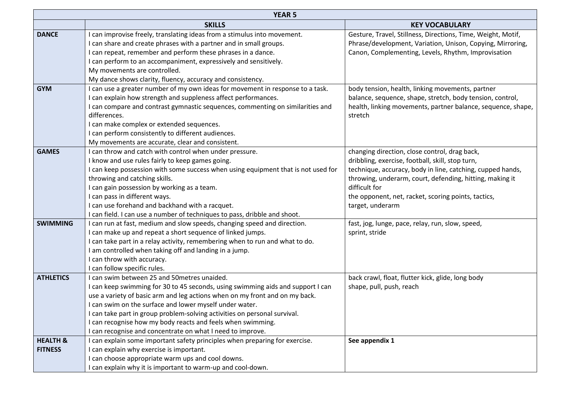| <b>YEAR 5</b>       |                                                                                   |                                                              |
|---------------------|-----------------------------------------------------------------------------------|--------------------------------------------------------------|
|                     | <b>SKILLS</b>                                                                     | <b>KEY VOCABULARY</b>                                        |
| <b>DANCE</b>        | I can improvise freely, translating ideas from a stimulus into movement.          | Gesture, Travel, Stillness, Directions, Time, Weight, Motif, |
|                     | I can share and create phrases with a partner and in small groups.                | Phrase/development, Variation, Unison, Copying, Mirroring,   |
|                     | I can repeat, remember and perform these phrases in a dance.                      | Canon, Complementing, Levels, Rhythm, Improvisation          |
|                     | I can perform to an accompaniment, expressively and sensitively.                  |                                                              |
|                     | My movements are controlled.                                                      |                                                              |
|                     | My dance shows clarity, fluency, accuracy and consistency.                        |                                                              |
| <b>GYM</b>          | I can use a greater number of my own ideas for movement in response to a task.    | body tension, health, linking movements, partner             |
|                     | I can explain how strength and suppleness affect performances.                    | balance, sequence, shape, stretch, body tension, control,    |
|                     | I can compare and contrast gymnastic sequences, commenting on similarities and    | health, linking movements, partner balance, sequence, shape, |
|                     | differences.                                                                      | stretch                                                      |
|                     | I can make complex or extended sequences.                                         |                                                              |
|                     | I can perform consistently to different audiences.                                |                                                              |
|                     | My movements are accurate, clear and consistent.                                  |                                                              |
| <b>GAMES</b>        | I can throw and catch with control when under pressure.                           | changing direction, close control, drag back,                |
|                     | I know and use rules fairly to keep games going.                                  | dribbling, exercise, football, skill, stop turn,             |
|                     | I can keep possession with some success when using equipment that is not used for | technique, accuracy, body in line, catching, cupped hands,   |
|                     | throwing and catching skills.                                                     | throwing, underarm, court, defending, hitting, making it     |
|                     | I can gain possession by working as a team.                                       | difficult for                                                |
|                     | I can pass in different ways.                                                     | the opponent, net, racket, scoring points, tactics,          |
|                     | I can use forehand and backhand with a racquet.                                   | target, underarm                                             |
|                     | I can field. I can use a number of techniques to pass, dribble and shoot.         |                                                              |
| <b>SWIMMING</b>     | I can run at fast, medium and slow speeds, changing speed and direction.          | fast, jog, lunge, pace, relay, run, slow, speed,             |
|                     | I can make up and repeat a short sequence of linked jumps.                        | sprint, stride                                               |
|                     | I can take part in a relay activity, remembering when to run and what to do.      |                                                              |
|                     | I am controlled when taking off and landing in a jump.                            |                                                              |
|                     | I can throw with accuracy.                                                        |                                                              |
|                     | I can follow specific rules.                                                      |                                                              |
| <b>ATHLETICS</b>    | I can swim between 25 and 50metres unaided.                                       | back crawl, float, flutter kick, glide, long body            |
|                     | I can keep swimming for 30 to 45 seconds, using swimming aids and support I can   | shape, pull, push, reach                                     |
|                     | use a variety of basic arm and leg actions when on my front and on my back.       |                                                              |
|                     | I can swim on the surface and lower myself under water.                           |                                                              |
|                     | I can take part in group problem-solving activities on personal survival.         |                                                              |
|                     | I can recognise how my body reacts and feels when swimming.                       |                                                              |
|                     | I can recognise and concentrate on what I need to improve.                        |                                                              |
| <b>HEALTH &amp;</b> | I can explain some important safety principles when preparing for exercise.       | See appendix 1                                               |
| <b>FITNESS</b>      | I can explain why exercise is important.                                          |                                                              |
|                     | I can choose appropriate warm ups and cool downs.                                 |                                                              |
|                     | I can explain why it is important to warm-up and cool-down.                       |                                                              |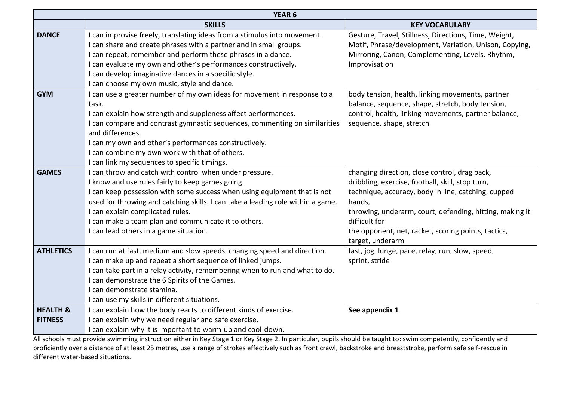| YEAR <sub>6</sub>   |                                                                                 |                                                          |
|---------------------|---------------------------------------------------------------------------------|----------------------------------------------------------|
|                     | <b>SKILLS</b>                                                                   | <b>KEY VOCABULARY</b>                                    |
| <b>DANCE</b>        | I can improvise freely, translating ideas from a stimulus into movement.        | Gesture, Travel, Stillness, Directions, Time, Weight,    |
|                     | I can share and create phrases with a partner and in small groups.              | Motif, Phrase/development, Variation, Unison, Copying,   |
|                     | I can repeat, remember and perform these phrases in a dance.                    | Mirroring, Canon, Complementing, Levels, Rhythm,         |
|                     | I can evaluate my own and other's performances constructively.                  | Improvisation                                            |
|                     | I can develop imaginative dances in a specific style.                           |                                                          |
|                     | I can choose my own music, style and dance.                                     |                                                          |
| <b>GYM</b>          | I can use a greater number of my own ideas for movement in response to a        | body tension, health, linking movements, partner         |
|                     | task.                                                                           | balance, sequence, shape, stretch, body tension,         |
|                     | I can explain how strength and suppleness affect performances.                  | control, health, linking movements, partner balance,     |
|                     | I can compare and contrast gymnastic sequences, commenting on similarities      | sequence, shape, stretch                                 |
|                     | and differences.                                                                |                                                          |
|                     | I can my own and other's performances constructively.                           |                                                          |
|                     | I can combine my own work with that of others.                                  |                                                          |
|                     | I can link my sequences to specific timings.                                    |                                                          |
| <b>GAMES</b>        | I can throw and catch with control when under pressure.                         | changing direction, close control, drag back,            |
|                     | I know and use rules fairly to keep games going.                                | dribbling, exercise, football, skill, stop turn,         |
|                     | I can keep possession with some success when using equipment that is not        | technique, accuracy, body in line, catching, cupped      |
|                     | used for throwing and catching skills. I can take a leading role within a game. | hands,                                                   |
|                     | I can explain complicated rules.                                                | throwing, underarm, court, defending, hitting, making it |
|                     | I can make a team plan and communicate it to others.                            | difficult for                                            |
|                     | I can lead others in a game situation.                                          | the opponent, net, racket, scoring points, tactics,      |
|                     |                                                                                 | target, underarm                                         |
| <b>ATHLETICS</b>    | I can run at fast, medium and slow speeds, changing speed and direction.        | fast, jog, lunge, pace, relay, run, slow, speed,         |
|                     | I can make up and repeat a short sequence of linked jumps.                      | sprint, stride                                           |
|                     | I can take part in a relay activity, remembering when to run and what to do.    |                                                          |
|                     | I can demonstrate the 6 Spirits of the Games.                                   |                                                          |
|                     | I can demonstrate stamina.                                                      |                                                          |
|                     | I can use my skills in different situations.                                    |                                                          |
| <b>HEALTH &amp;</b> | I can explain how the body reacts to different kinds of exercise.               | See appendix 1                                           |
| <b>FITNESS</b>      | I can explain why we need regular and safe exercise.                            |                                                          |
|                     | I can explain why it is important to warm-up and cool-down.                     |                                                          |

All schools must provide swimming instruction either in Key Stage 1 or Key Stage 2. In particular, pupils should be taught to: swim competently, confidently and proficiently over a distance of at least 25 metres, use a range of strokes effectively such as front crawl, backstroke and breaststroke, perform safe self-rescue in different water-based situations.